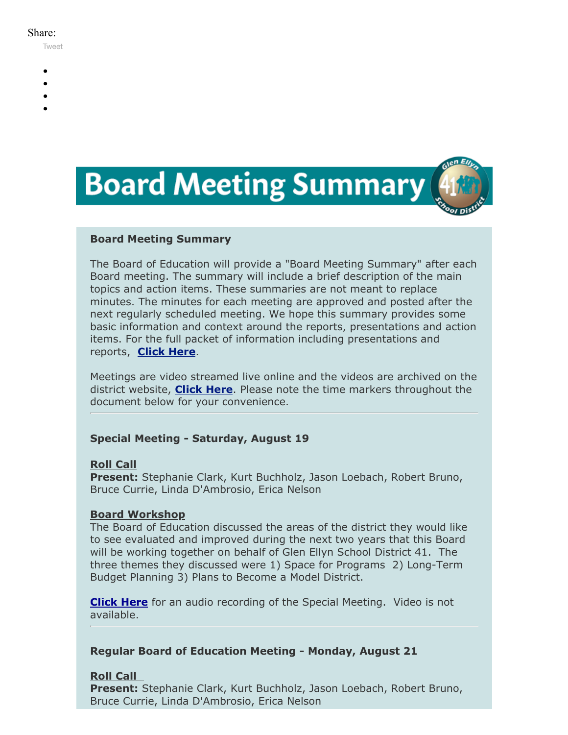#### Share:

[Tweet](https://twitter.com/intent/tweet?original_referer=https%3A%2F%2Fmyemail.constantcontact.com%2FBoard-Meeting-Summary-for-August-19--21-2017.html%3Fsoid%3D1102200973173%26aid%3D6bwsBdiqLTI&ref_src=twsrc%5Etfw&text=Board%20Meeting%20Summary%20for%20August%2019%2C%2021%202017&tw_p=tweetbutton&url=https%3A%2F%2Fmyemail.constantcontact.com%2FBoard-Meeting-Summary-for-August-19--21-2017.html%3Fsoid%3D1102200973173%26aid%3D6bwsBdiqLTI)

- -
- 
- 
- 



#### **Board Meeting Summary**

The Board of Education will provide a "Board Meeting Summary" after each Board meeting. The summary will include a brief description of the main topics and action items. These summaries are not meant to replace minutes. The minutes for each meeting are approved and posted after the next regularly scheduled meeting. We hope this summary provides some basic information and context around the reports, presentations and action items. For the full packet of information including presentations and reports, **[Click Here](http://www.d41.org/domain/36)**.

Meetings are video streamed live online and the videos are archived on the district website, **[Click Here](http://www.d41.org/domain/463)**. Please note the time markers throughout the document below for your convenience.

### **Special Meeting - Saturday, August 19**

### **Roll Call**

**Present:** Stephanie Clark, Kurt Buchholz, Jason Loebach, Robert Bruno, Bruce Currie, Linda D'Ambrosio, Erica Nelson

### **Board Workshop**

The Board of Education discussed the areas of the district they would like to see evaluated and improved during the next two years that this Board will be working together on behalf of Glen Ellyn School District 41. The three themes they discussed were 1) Space for Programs 2) Long-Term Budget Planning 3) Plans to Become a Model District.

**[Click Here](https://www.d41.org/domain/463)** for an audio recording of the Special Meeting. Video is not available.

### **Regular Board of Education Meeting - Monday, August 21**

### **Roll Call**

**Present:** Stephanie Clark, Kurt Buchholz, Jason Loebach, Robert Bruno, Bruce Currie, Linda D'Ambrosio, Erica Nelson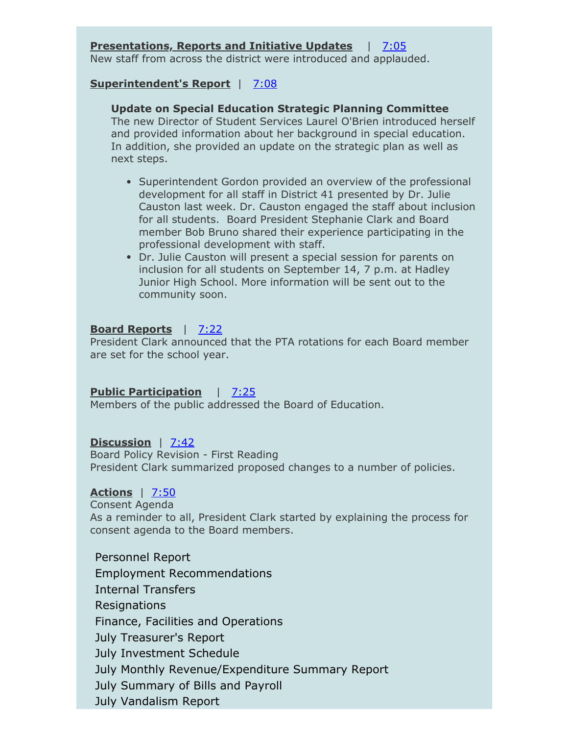### **Presentations, Reports and Initiative Updates** | [7:05](https://www.youtube.com/watch?v=rnI_rGADrK4&t=0m40s)

New staff from across the district were introduced and applauded.

#### **Superintendent's Report** | [7:08](https://www.youtube.com/watch?v=rnI_rGADrK4&t=4m43s)

#### **Update on Special Education Strategic Planning Committee**

The new Director of Student Services Laurel O'Brien introduced herself and provided information about her background in special education. In addition, she provided an update on the strategic plan as well as next steps.

- Superintendent Gordon provided an overview of the professional development for all staff in District 41 presented by Dr. Julie Causton last week. Dr. Causton engaged the staff about inclusion for all students. Board President Stephanie Clark and Board member Bob Bruno shared their experience participating in the professional development with staff.
- Dr. Julie Causton will present a special session for parents on inclusion for all students on September 14, 7 p.m. at Hadley Junior High School. More information will be sent out to the community soon.

#### **Board Reports** | [7:22](https://www.youtube.com/watch?v=rnI_rGADrK4&t=19m28s)

President Clark announced that the PTA rotations for each Board member are set for the school year.

### **Public Participation** | [7:25](https://www.youtube.com/watch?v=rnI_rGADrK4&t=22m10s)

Members of the public addressed the Board of Education.

### **Discussion** | [7:42](https://www.youtube.com/watch?v=rnI_rGADrK4&t=38m10s)

Board Policy Revision - First Reading President Clark summarized proposed changes to a number of policies.

#### **Actions** | [7:50](https://www.youtube.com/watch?v=rnI_rGADrK4&t=46m23s)

Consent Agenda As a reminder to all, President Clark started by explaining the process for consent agenda to the Board members.

Personnel Report Employment Recommendations Internal Transfers Resignations Finance, Facilities and Operations July Treasurer's Report July Investment Schedule July Monthly Revenue/Expenditure Summary Report July Summary of Bills and Payroll July Vandalism Report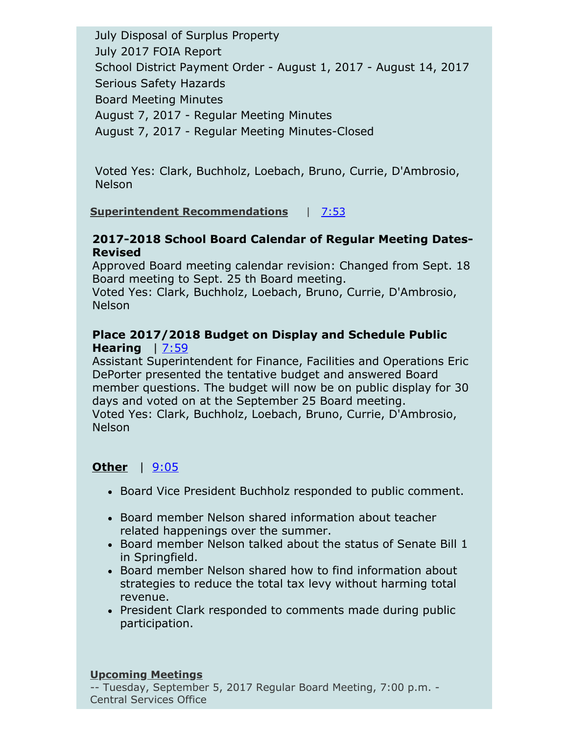July Disposal of Surplus Property July 2017 FOIA Report School District Payment Order - August 1, 2017 - August 14, 2017 Serious Safety Hazards Board Meeting Minutes August 7, 2017 - Regular Meeting Minutes August 7, 2017 - Regular Meeting Minutes-Closed

Voted Yes: Clark, Buchholz, Loebach, Bruno, Currie, D'Ambrosio, Nelson

# **Superintendent Recommendations** | [7:53](https://www.youtube.com/watch?v=rnI_rGADrK4&t=48m35s)

# **2017-2018 School Board Calendar of Regular Meeting Dates-Revised**

Approved Board meeting calendar revision: Changed from Sept. 18 Board meeting to Sept. 25 th Board meeting.

Voted Yes: Clark, Buchholz, Loebach, Bruno, Currie, D'Ambrosio, **Nelson** 

# **Place 2017/2018 Budget on Display and Schedule Public Hearing** | [7:59](https://www.youtube.com/watch?v=rnI_rGADrK4&t=51m35s)

Assistant Superintendent for Finance, Facilities and Operations Eric DePorter presented the tentative budget and answered Board member questions. The budget will now be on public display for 30 days and voted on at the September 25 Board meeting. Voted Yes: Clark, Buchholz, Loebach, Bruno, Currie, D'Ambrosio, Nelson

# **Other** | [9:05](https://www.youtube.com/watch?v=rnI_rGADrK4&t=2h03m50s)

- Board Vice President Buchholz responded to public comment.
- Board member Nelson shared information about teacher related happenings over the summer.
- $\bullet$  Board member Nelson talked about the status of Senate Bill 1 in Springfield.
- Board member Nelson shared how to find information about strategies to reduce the total tax levy without harming total revenue.
- President Clark responded to comments made during public participation.

### **Upcoming Meetings**

-- Tuesday, September 5, 2017 Regular Board Meeting, 7:00 p.m. - Central Services Office